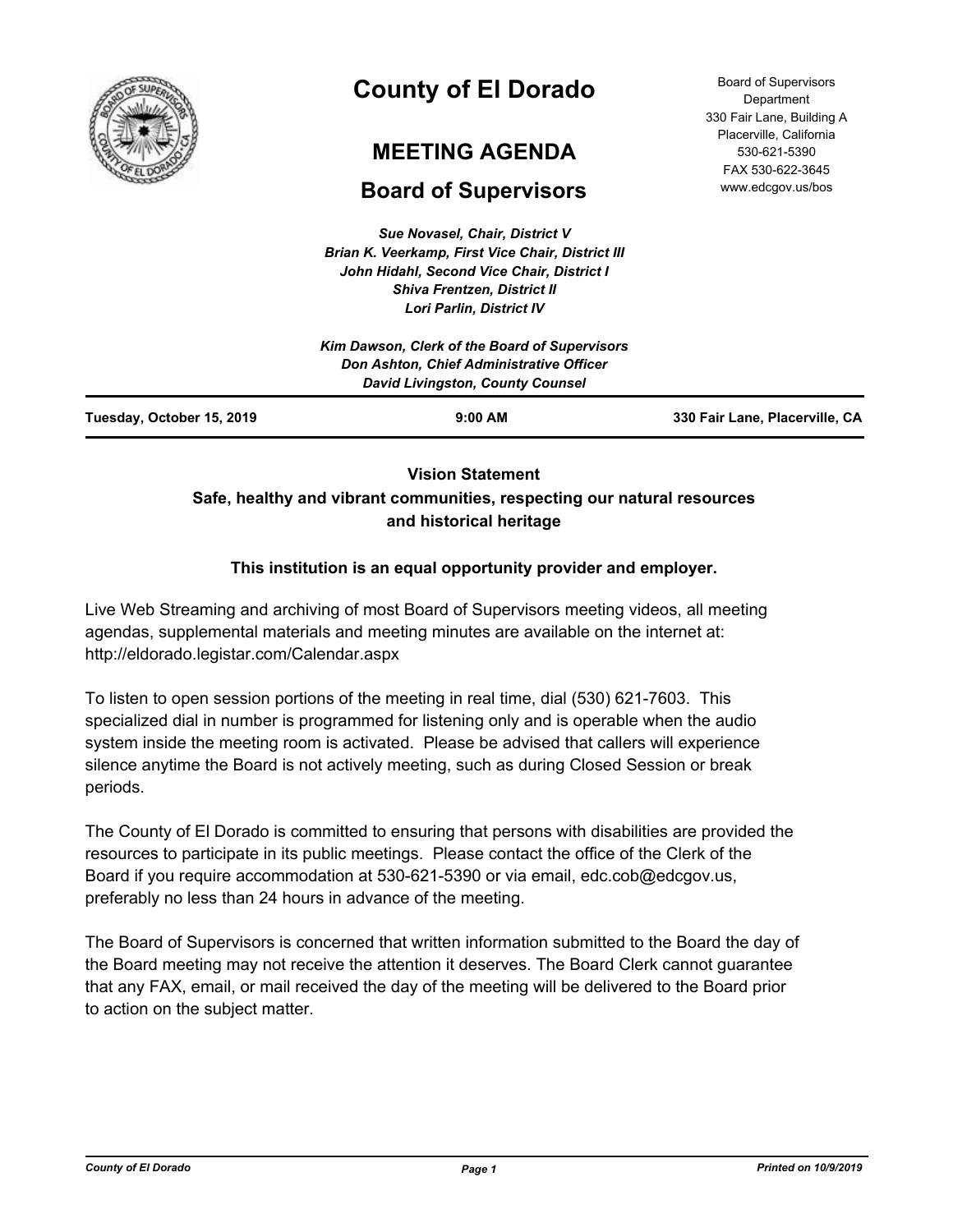

# **County of El Dorado**

## **MEETING AGENDA**

## **Board of Supervisors**

*Sue Novasel, Chair, District V Brian K. Veerkamp, First Vice Chair, District III John Hidahl, Second Vice Chair, District I Shiva Frentzen, District II Lori Parlin, District IV*

| <b>Board of Supervisors</b> |
|-----------------------------|
|                             |
| Department                  |
| 330 Fair Lane, Building A   |
| Placerville, California     |
| 530-621-5390                |
| FAX 530-622-3645            |
| www.edcgov.us/bos           |

## **Vision Statement Safe, healthy and vibrant communities, respecting our natural resources and historical heritage**

## **This institution is an equal opportunity provider and employer.**

Live Web Streaming and archiving of most Board of Supervisors meeting videos, all meeting agendas, supplemental materials and meeting minutes are available on the internet at: http://eldorado.legistar.com/Calendar.aspx

To listen to open session portions of the meeting in real time, dial (530) 621-7603. This specialized dial in number is programmed for listening only and is operable when the audio system inside the meeting room is activated. Please be advised that callers will experience silence anytime the Board is not actively meeting, such as during Closed Session or break periods.

The County of El Dorado is committed to ensuring that persons with disabilities are provided the resources to participate in its public meetings. Please contact the office of the Clerk of the Board if you require accommodation at 530-621-5390 or via email, edc.cob@edcgov.us, preferably no less than 24 hours in advance of the meeting.

The Board of Supervisors is concerned that written information submitted to the Board the day of the Board meeting may not receive the attention it deserves. The Board Clerk cannot guarantee that any FAX, email, or mail received the day of the meeting will be delivered to the Board prior to action on the subject matter.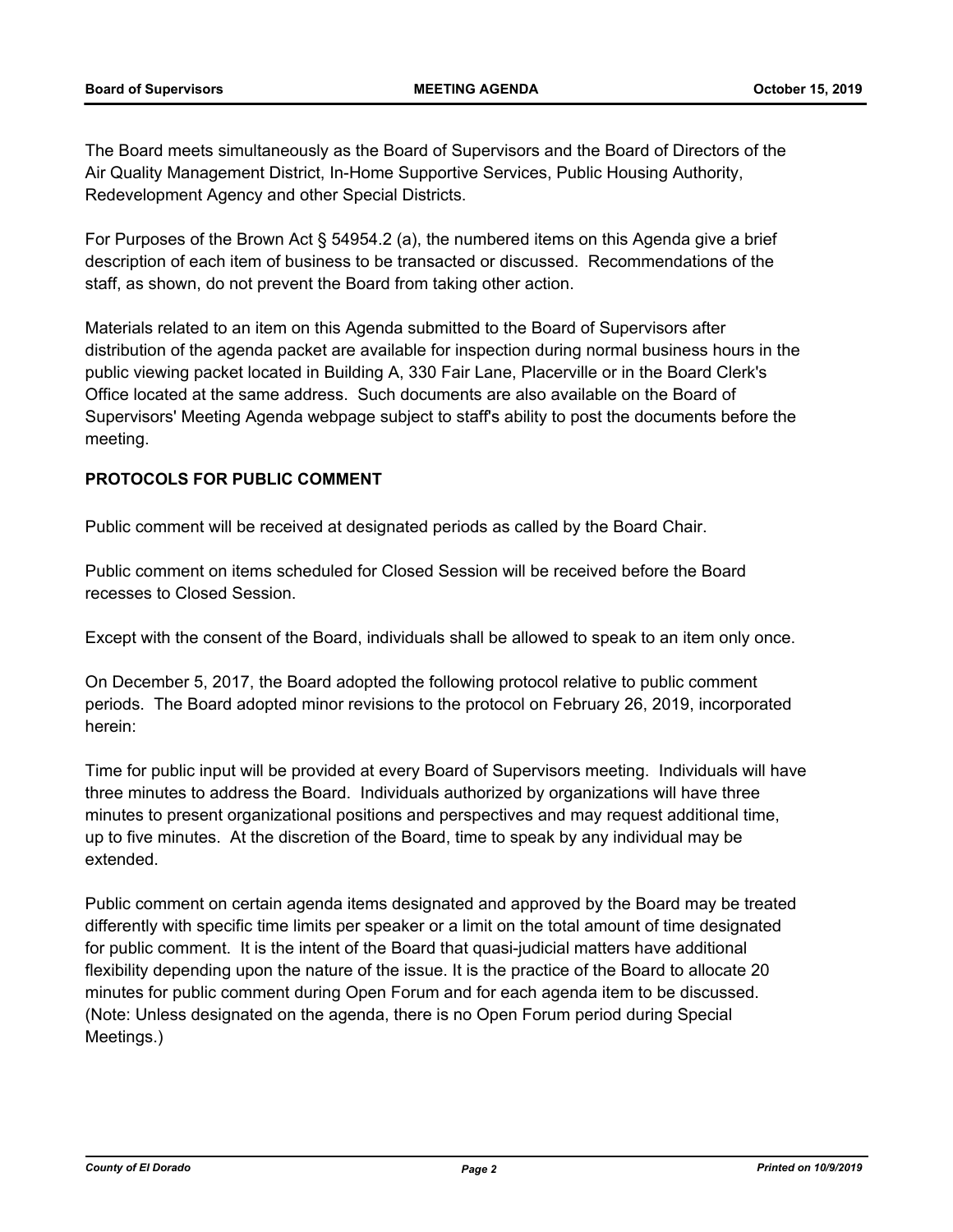The Board meets simultaneously as the Board of Supervisors and the Board of Directors of the Air Quality Management District, In-Home Supportive Services, Public Housing Authority, Redevelopment Agency and other Special Districts.

For Purposes of the Brown Act § 54954.2 (a), the numbered items on this Agenda give a brief description of each item of business to be transacted or discussed. Recommendations of the staff, as shown, do not prevent the Board from taking other action.

Materials related to an item on this Agenda submitted to the Board of Supervisors after distribution of the agenda packet are available for inspection during normal business hours in the public viewing packet located in Building A, 330 Fair Lane, Placerville or in the Board Clerk's Office located at the same address. Such documents are also available on the Board of Supervisors' Meeting Agenda webpage subject to staff's ability to post the documents before the meeting.

### **PROTOCOLS FOR PUBLIC COMMENT**

Public comment will be received at designated periods as called by the Board Chair.

Public comment on items scheduled for Closed Session will be received before the Board recesses to Closed Session.

Except with the consent of the Board, individuals shall be allowed to speak to an item only once.

On December 5, 2017, the Board adopted the following protocol relative to public comment periods. The Board adopted minor revisions to the protocol on February 26, 2019, incorporated herein:

Time for public input will be provided at every Board of Supervisors meeting. Individuals will have three minutes to address the Board. Individuals authorized by organizations will have three minutes to present organizational positions and perspectives and may request additional time, up to five minutes. At the discretion of the Board, time to speak by any individual may be extended.

Public comment on certain agenda items designated and approved by the Board may be treated differently with specific time limits per speaker or a limit on the total amount of time designated for public comment. It is the intent of the Board that quasi-judicial matters have additional flexibility depending upon the nature of the issue. It is the practice of the Board to allocate 20 minutes for public comment during Open Forum and for each agenda item to be discussed. (Note: Unless designated on the agenda, there is no Open Forum period during Special Meetings.)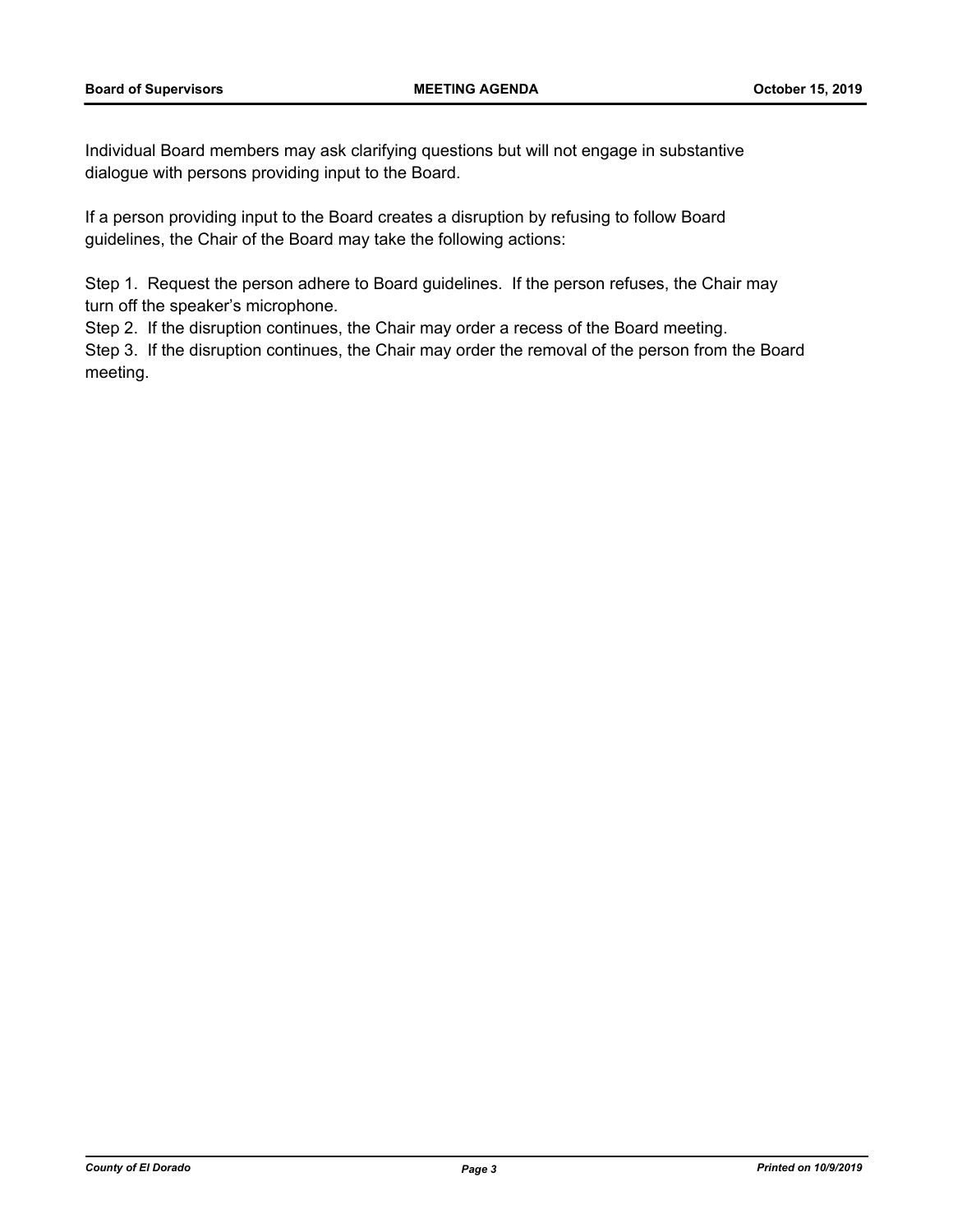Individual Board members may ask clarifying questions but will not engage in substantive dialogue with persons providing input to the Board.

If a person providing input to the Board creates a disruption by refusing to follow Board guidelines, the Chair of the Board may take the following actions:

Step 1. Request the person adhere to Board guidelines. If the person refuses, the Chair may turn off the speaker's microphone.

Step 2. If the disruption continues, the Chair may order a recess of the Board meeting.

Step 3. If the disruption continues, the Chair may order the removal of the person from the Board meeting.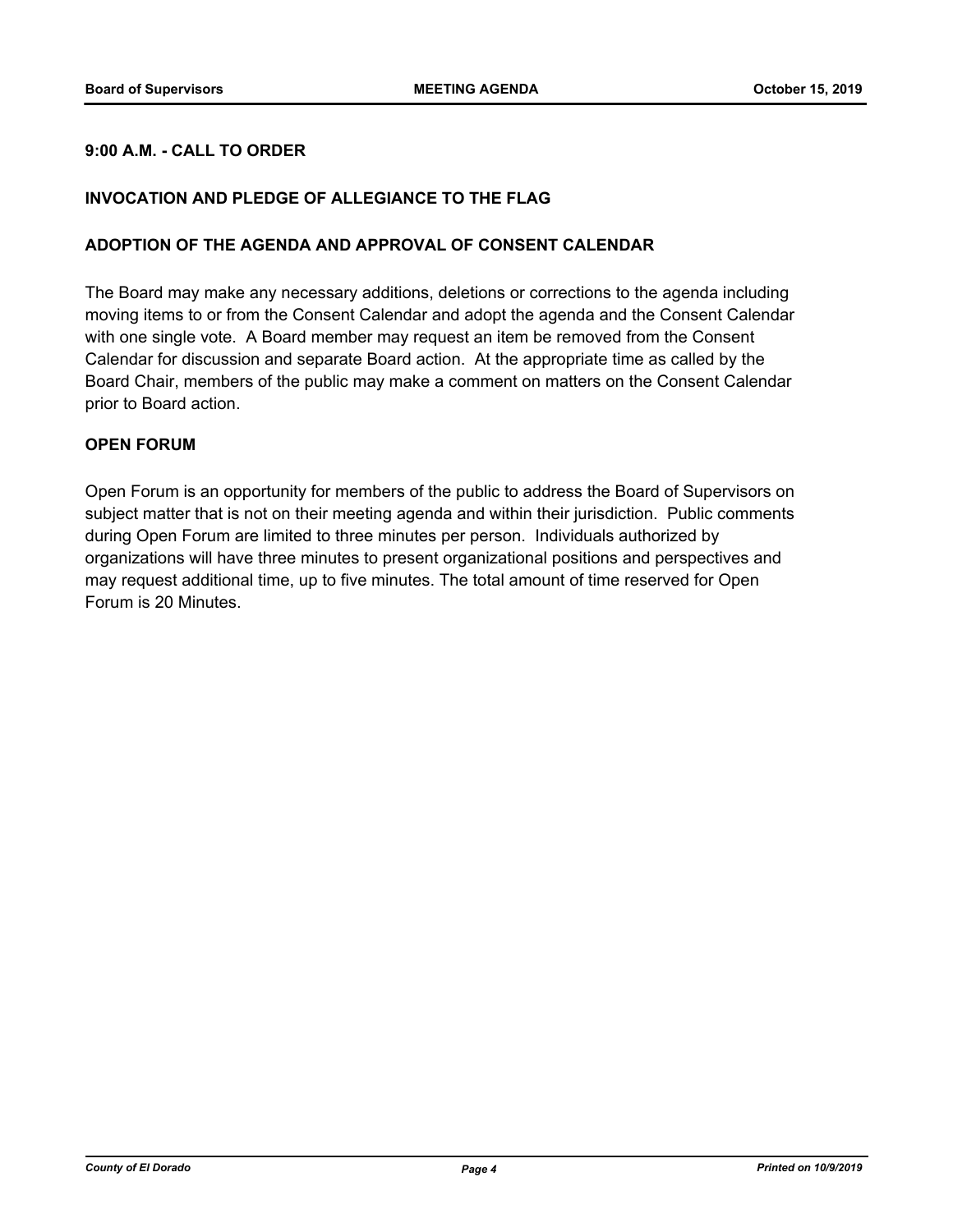### **9:00 A.M. - CALL TO ORDER**

#### **INVOCATION AND PLEDGE OF ALLEGIANCE TO THE FLAG**

#### **ADOPTION OF THE AGENDA AND APPROVAL OF CONSENT CALENDAR**

The Board may make any necessary additions, deletions or corrections to the agenda including moving items to or from the Consent Calendar and adopt the agenda and the Consent Calendar with one single vote. A Board member may request an item be removed from the Consent Calendar for discussion and separate Board action. At the appropriate time as called by the Board Chair, members of the public may make a comment on matters on the Consent Calendar prior to Board action.

#### **OPEN FORUM**

Open Forum is an opportunity for members of the public to address the Board of Supervisors on subject matter that is not on their meeting agenda and within their jurisdiction. Public comments during Open Forum are limited to three minutes per person. Individuals authorized by organizations will have three minutes to present organizational positions and perspectives and may request additional time, up to five minutes. The total amount of time reserved for Open Forum is 20 Minutes.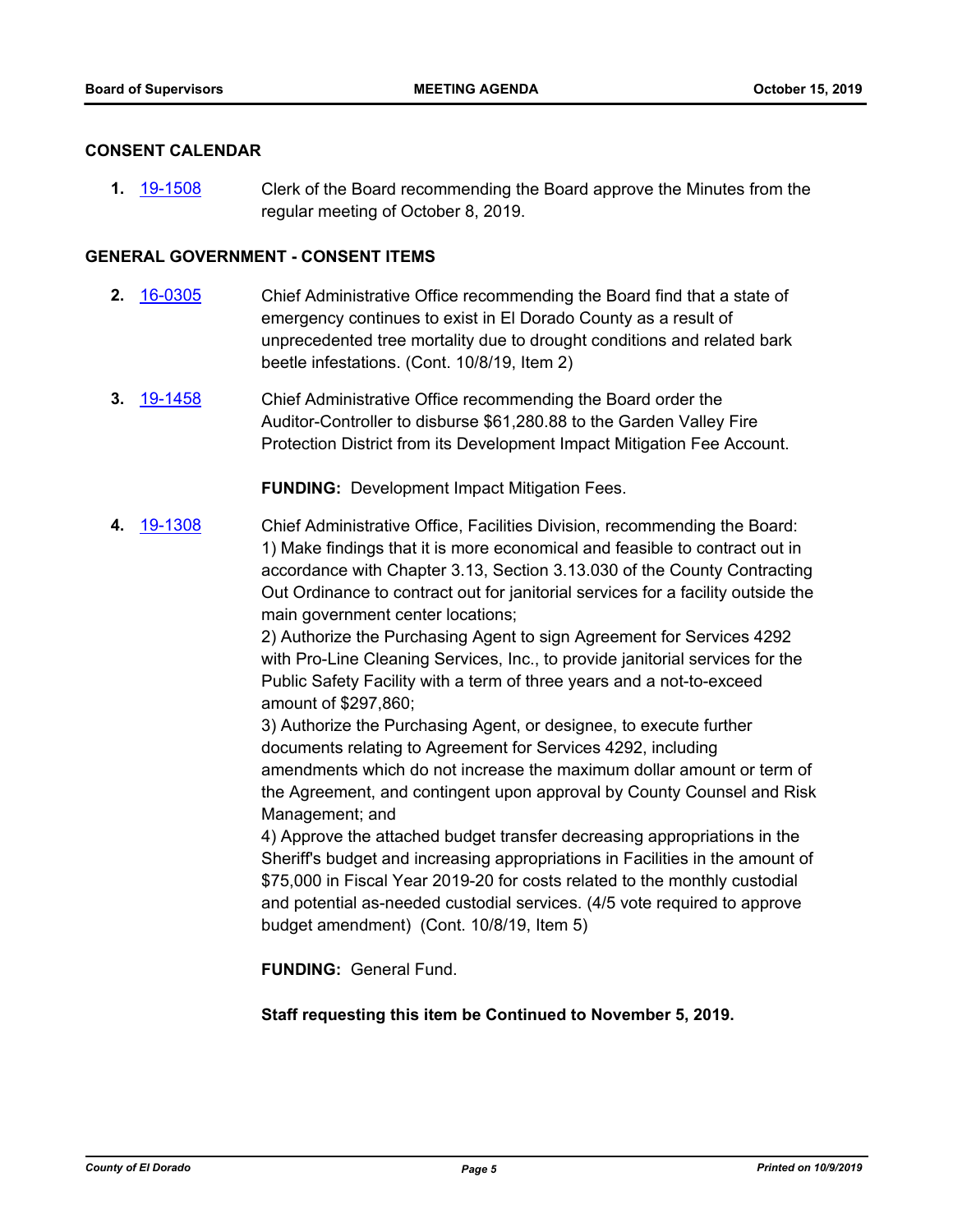#### **CONSENT CALENDAR**

**1.** [19-1508](http://eldorado.legistar.com/gateway.aspx?m=l&id=/matter.aspx?key=26830) Clerk of the Board recommending the Board approve the Minutes from the regular meeting of October 8, 2019.

#### **GENERAL GOVERNMENT - CONSENT ITEMS**

- **2.** [16-0305](http://eldorado.legistar.com/gateway.aspx?m=l&id=/matter.aspx?key=20961) Chief Administrative Office recommending the Board find that a state of emergency continues to exist in El Dorado County as a result of unprecedented tree mortality due to drought conditions and related bark beetle infestations. (Cont. 10/8/19, Item 2)
- **3.** [19-1458](http://eldorado.legistar.com/gateway.aspx?m=l&id=/matter.aspx?key=26779) Chief Administrative Office recommending the Board order the Auditor-Controller to disburse \$61,280.88 to the Garden Valley Fire Protection District from its Development Impact Mitigation Fee Account.

**FUNDING:** Development Impact Mitigation Fees.

**4.** [19-1308](http://eldorado.legistar.com/gateway.aspx?m=l&id=/matter.aspx?key=26630) Chief Administrative Office, Facilities Division, recommending the Board: 1) Make findings that it is more economical and feasible to contract out in accordance with Chapter 3.13, Section 3.13.030 of the County Contracting Out Ordinance to contract out for janitorial services for a facility outside the main government center locations;

> 2) Authorize the Purchasing Agent to sign Agreement for Services 4292 with Pro-Line Cleaning Services, Inc., to provide janitorial services for the Public Safety Facility with a term of three years and a not-to-exceed amount of \$297,860;

3) Authorize the Purchasing Agent, or designee, to execute further documents relating to Agreement for Services 4292, including amendments which do not increase the maximum dollar amount or term of the Agreement, and contingent upon approval by County Counsel and Risk Management; and

4) Approve the attached budget transfer decreasing appropriations in the Sheriff's budget and increasing appropriations in Facilities in the amount of \$75,000 in Fiscal Year 2019-20 for costs related to the monthly custodial and potential as-needed custodial services. (4/5 vote required to approve budget amendment) (Cont. 10/8/19, Item 5)

**FUNDING:** General Fund.

**Staff requesting this item be Continued to November 5, 2019.**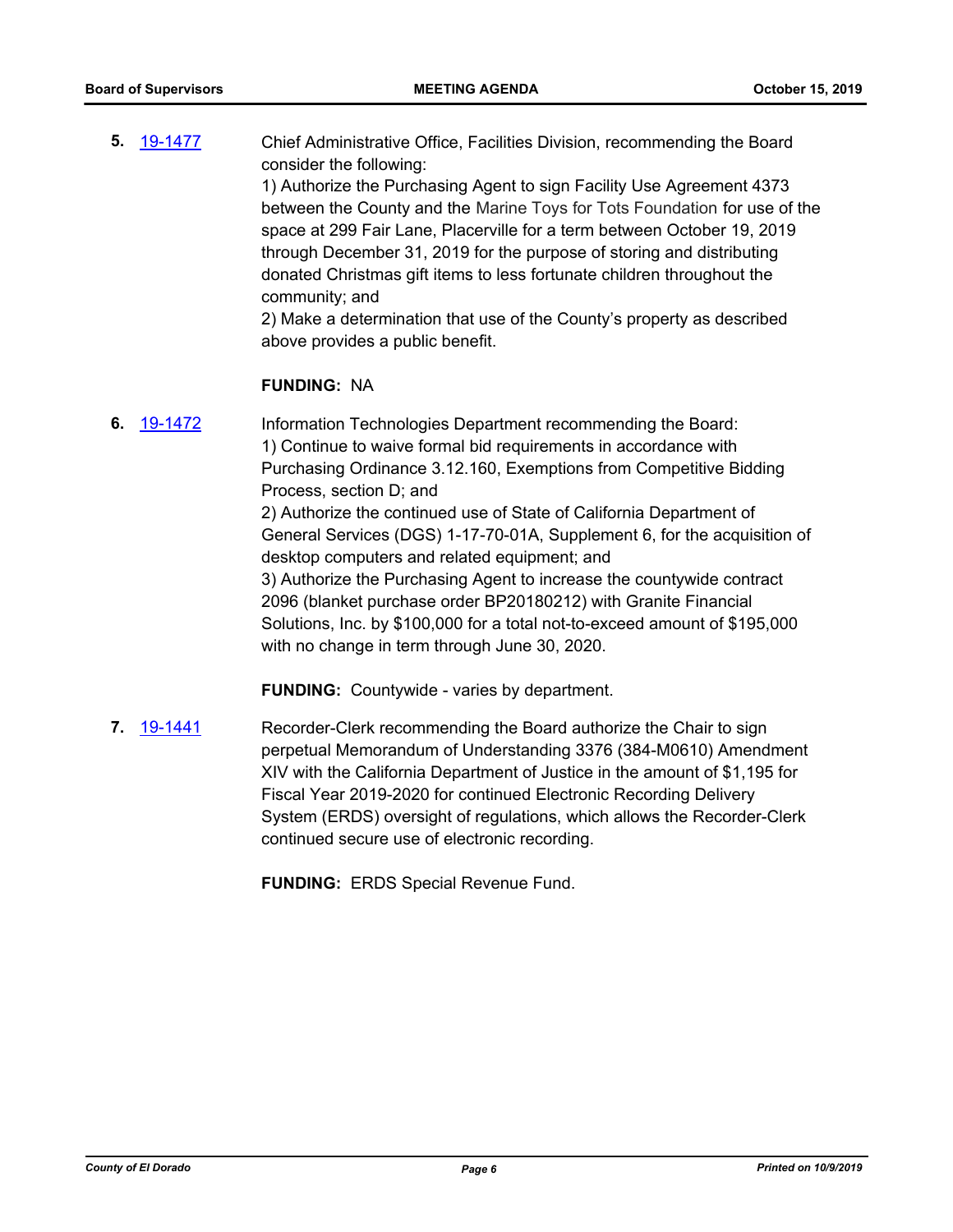**5.** [19-1477](http://eldorado.legistar.com/gateway.aspx?m=l&id=/matter.aspx?key=26798) Chief Administrative Office, Facilities Division, recommending the Board consider the following: 1) Authorize the Purchasing Agent to sign Facility Use Agreement 4373 between the County and the Marine Toys for Tots Foundation for use of the space at 299 Fair Lane, Placerville for a term between October 19, 2019 through December 31, 2019 for the purpose of storing and distributing donated Christmas gift items to less fortunate children throughout the community; and 2) Make a determination that use of the County's property as described

#### **FUNDING:** NA

above provides a public benefit.

**6.** [19-1472](http://eldorado.legistar.com/gateway.aspx?m=l&id=/matter.aspx?key=26793) Information Technologies Department recommending the Board: 1) Continue to waive formal bid requirements in accordance with Purchasing Ordinance 3.12.160, Exemptions from Competitive Bidding Process, section D; and 2) Authorize the continued use of State of California Department of General Services (DGS) 1-17-70-01A, Supplement 6, for the acquisition of desktop computers and related equipment; and 3) Authorize the Purchasing Agent to increase the countywide contract 2096 (blanket purchase order BP20180212) with Granite Financial Solutions, Inc. by \$100,000 for a total not-to-exceed amount of \$195,000

**FUNDING:** Countywide - varies by department.

with no change in term through June 30, 2020.

**7.** [19-1441](http://eldorado.legistar.com/gateway.aspx?m=l&id=/matter.aspx?key=26762) Recorder-Clerk recommending the Board authorize the Chair to sign perpetual Memorandum of Understanding 3376 (384-M0610) Amendment XIV with the California Department of Justice in the amount of \$1,195 for Fiscal Year 2019-2020 for continued Electronic Recording Delivery System (ERDS) oversight of regulations, which allows the Recorder-Clerk continued secure use of electronic recording.

**FUNDING:** ERDS Special Revenue Fund.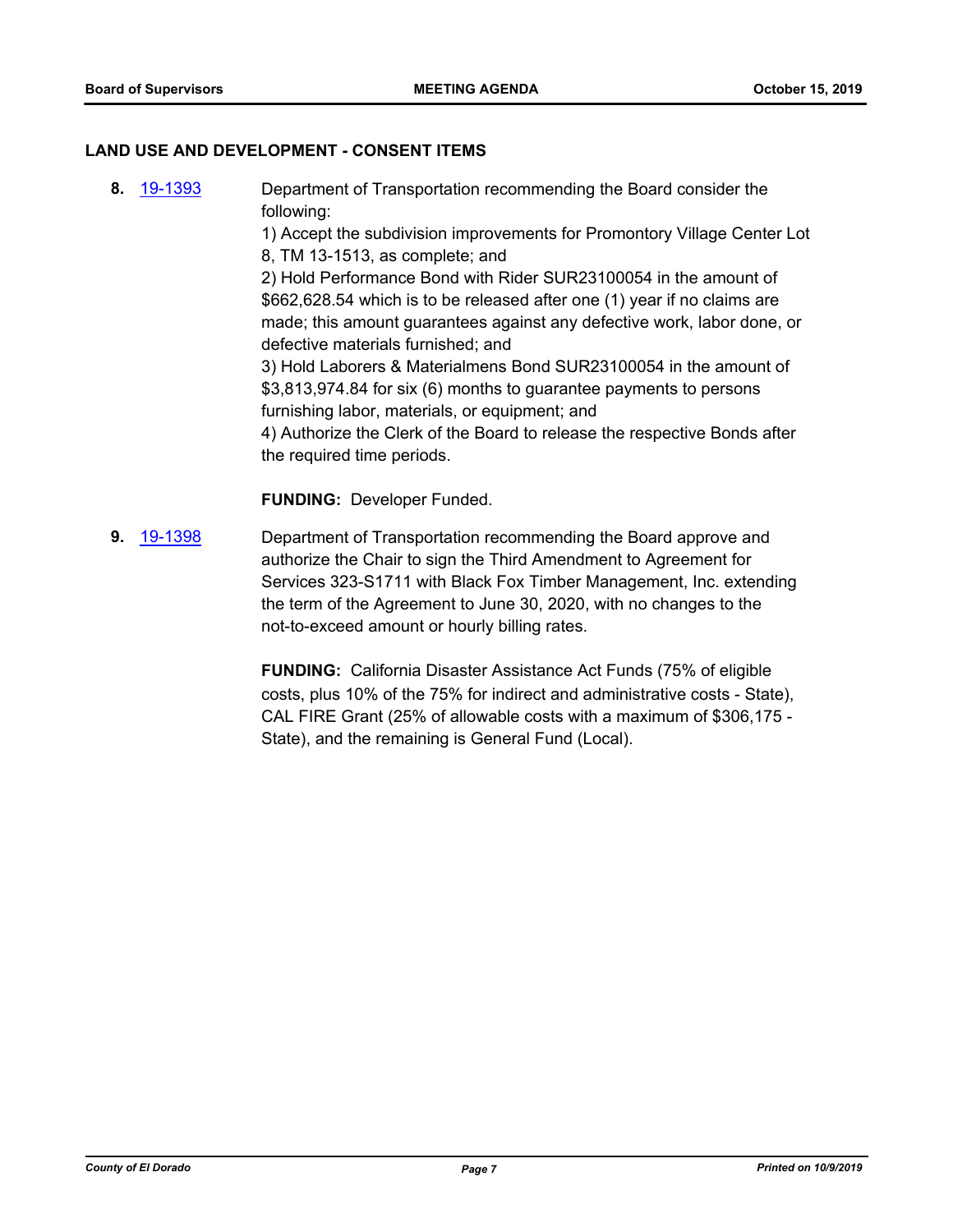#### **LAND USE AND DEVELOPMENT - CONSENT ITEMS**

**8.** [19-1393](http://eldorado.legistar.com/gateway.aspx?m=l&id=/matter.aspx?key=26714) Department of Transportation recommending the Board consider the following:

1) Accept the subdivision improvements for Promontory Village Center Lot 8, TM 13-1513, as complete; and

2) Hold Performance Bond with Rider SUR23100054 in the amount of \$662,628.54 which is to be released after one (1) year if no claims are made; this amount guarantees against any defective work, labor done, or defective materials furnished; and

3) Hold Laborers & Materialmens Bond SUR23100054 in the amount of \$3,813,974.84 for six (6) months to guarantee payments to persons furnishing labor, materials, or equipment; and

4) Authorize the Clerk of the Board to release the respective Bonds after the required time periods.

**FUNDING:** Developer Funded.

**9.** [19-1398](http://eldorado.legistar.com/gateway.aspx?m=l&id=/matter.aspx?key=26719) Department of Transportation recommending the Board approve and authorize the Chair to sign the Third Amendment to Agreement for Services 323-S1711 with Black Fox Timber Management, Inc. extending the term of the Agreement to June 30, 2020, with no changes to the not-to-exceed amount or hourly billing rates.

> **FUNDING:** California Disaster Assistance Act Funds (75% of eligible costs, plus 10% of the 75% for indirect and administrative costs - State), CAL FIRE Grant (25% of allowable costs with a maximum of \$306,175 - State), and the remaining is General Fund (Local).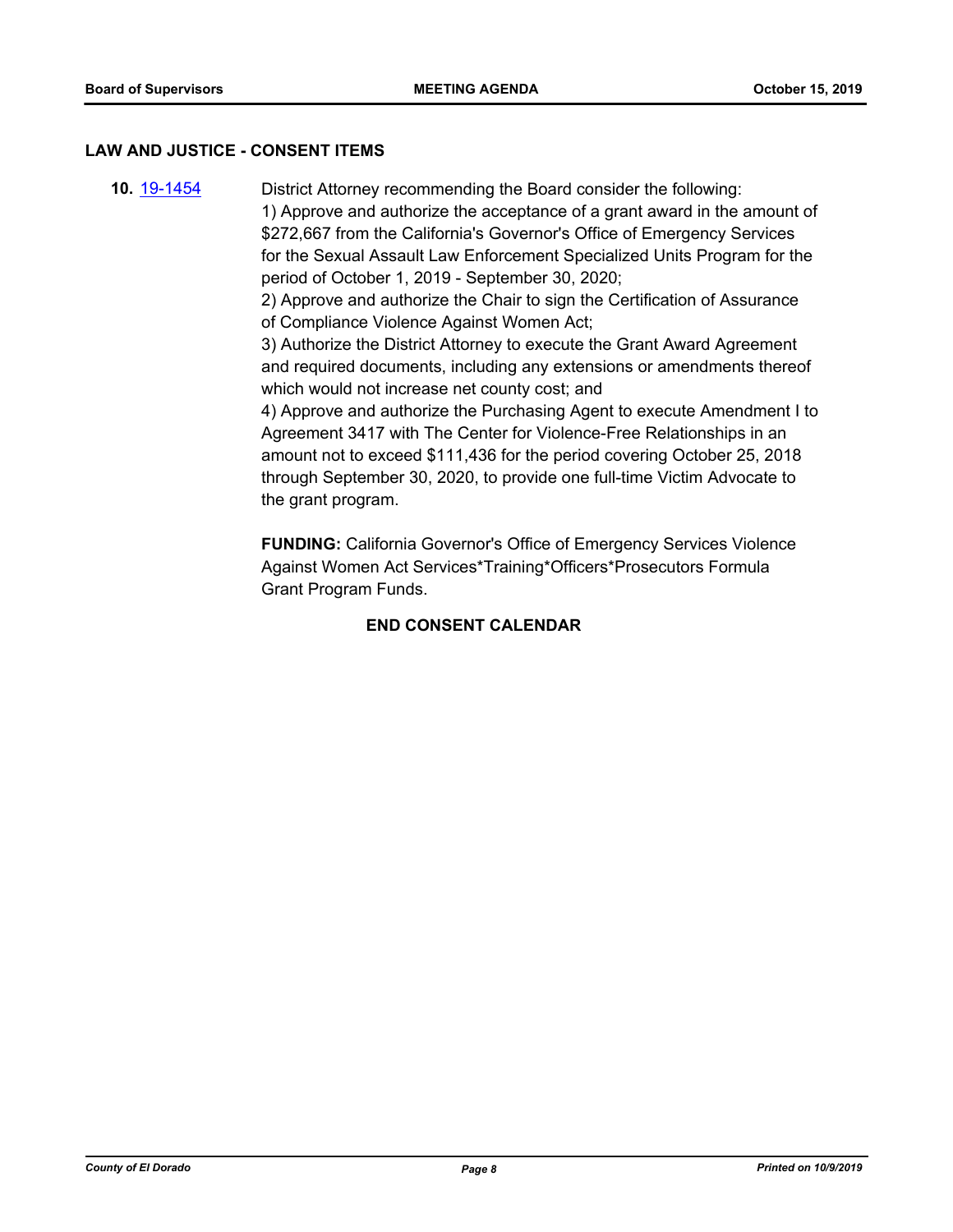#### **LAW AND JUSTICE - CONSENT ITEMS**

**10.** [19-1454](http://eldorado.legistar.com/gateway.aspx?m=l&id=/matter.aspx?key=26775) District Attorney recommending the Board consider the following: 1) Approve and authorize the acceptance of a grant award in the amount of \$272,667 from the California's Governor's Office of Emergency Services for the Sexual Assault Law Enforcement Specialized Units Program for the period of October 1, 2019 - September 30, 2020; 2) Approve and authorize the Chair to sign the Certification of Assurance of Compliance Violence Against Women Act; 3) Authorize the District Attorney to execute the Grant Award Agreement and required documents, including any extensions or amendments thereof which would not increase net county cost; and 4) Approve and authorize the Purchasing Agent to execute Amendment I to Agreement 3417 with The Center for Violence-Free Relationships in an amount not to exceed \$111,436 for the period covering October 25, 2018 through September 30, 2020, to provide one full-time Victim Advocate to the grant program.

> **FUNDING:** California Governor's Office of Emergency Services Violence Against Women Act Services\*Training\*Officers\*Prosecutors Formula Grant Program Funds.

## **END CONSENT CALENDAR**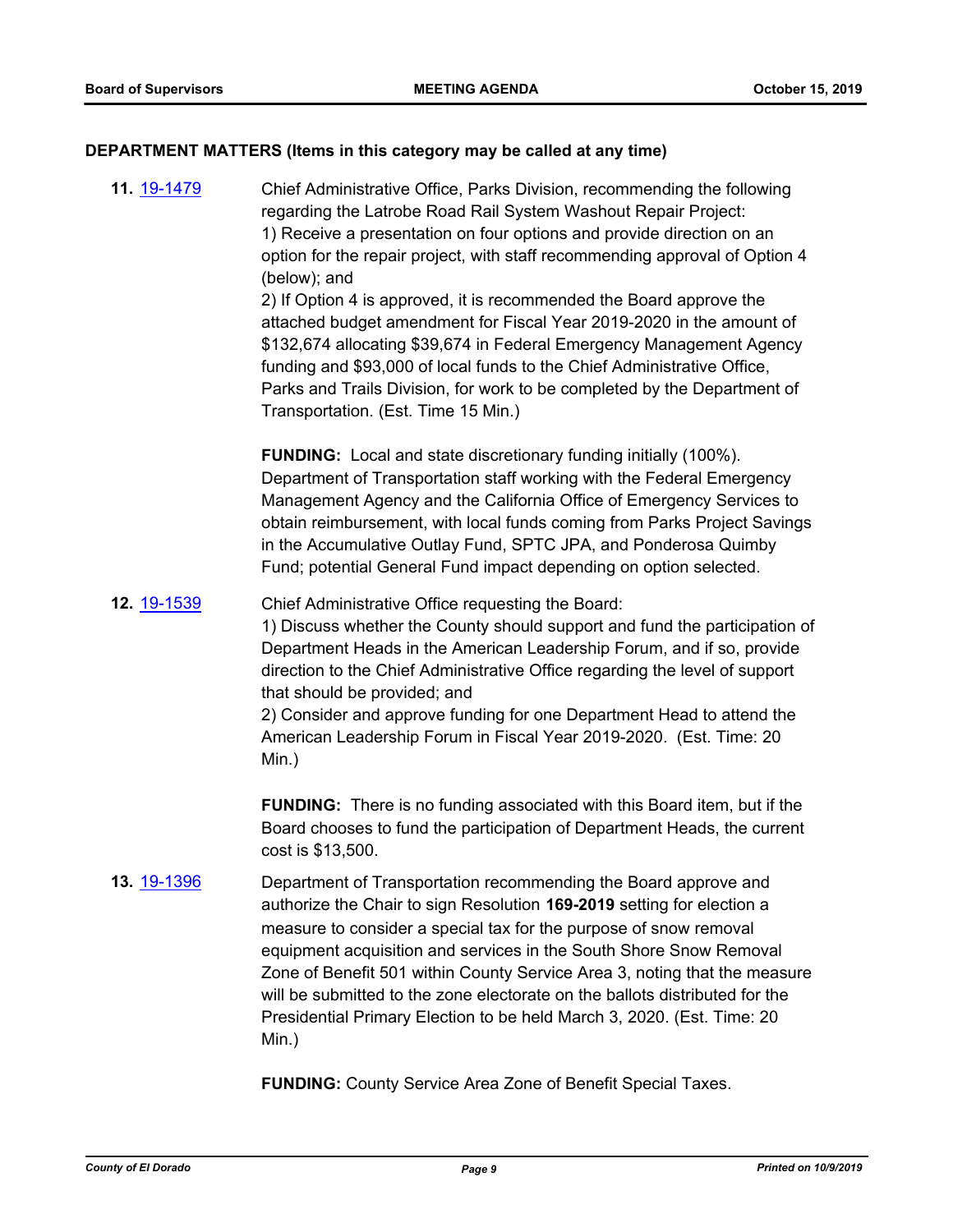#### **DEPARTMENT MATTERS (Items in this category may be called at any time)**

**11.** [19-1479](http://eldorado.legistar.com/gateway.aspx?m=l&id=/matter.aspx?key=26800) Chief Administrative Office, Parks Division, recommending the following regarding the Latrobe Road Rail System Washout Repair Project: 1) Receive a presentation on four options and provide direction on an option for the repair project, with staff recommending approval of Option 4 (below); and 2) If Option 4 is approved, it is recommended the Board approve the attached budget amendment for Fiscal Year 2019-2020 in the amount of \$132,674 allocating \$39,674 in Federal Emergency Management Agency funding and \$93,000 of local funds to the Chief Administrative Office, Parks and Trails Division, for work to be completed by the Department of Transportation. (Est. Time 15 Min.)

> **FUNDING:** Local and state discretionary funding initially (100%). Department of Transportation staff working with the Federal Emergency Management Agency and the California Office of Emergency Services to obtain reimbursement, with local funds coming from Parks Project Savings in the Accumulative Outlay Fund, SPTC JPA, and Ponderosa Quimby Fund; potential General Fund impact depending on option selected.

#### **12.** [19-1539](http://eldorado.legistar.com/gateway.aspx?m=l&id=/matter.aspx?key=26861) Chief Administrative Office requesting the Board:

1) Discuss whether the County should support and fund the participation of Department Heads in the American Leadership Forum, and if so, provide direction to the Chief Administrative Office regarding the level of support that should be provided; and

2) Consider and approve funding for one Department Head to attend the American Leadership Forum in Fiscal Year 2019-2020. (Est. Time: 20 Min.)

**FUNDING:** There is no funding associated with this Board item, but if the Board chooses to fund the participation of Department Heads, the current cost is \$13,500.

**13.** [19-1396](http://eldorado.legistar.com/gateway.aspx?m=l&id=/matter.aspx?key=26717) Department of Transportation recommending the Board approve and authorize the Chair to sign Resolution **169-2019** setting for election a measure to consider a special tax for the purpose of snow removal equipment acquisition and services in the South Shore Snow Removal Zone of Benefit 501 within County Service Area 3, noting that the measure will be submitted to the zone electorate on the ballots distributed for the Presidential Primary Election to be held March 3, 2020. (Est. Time: 20 Min.)

**FUNDING:** County Service Area Zone of Benefit Special Taxes.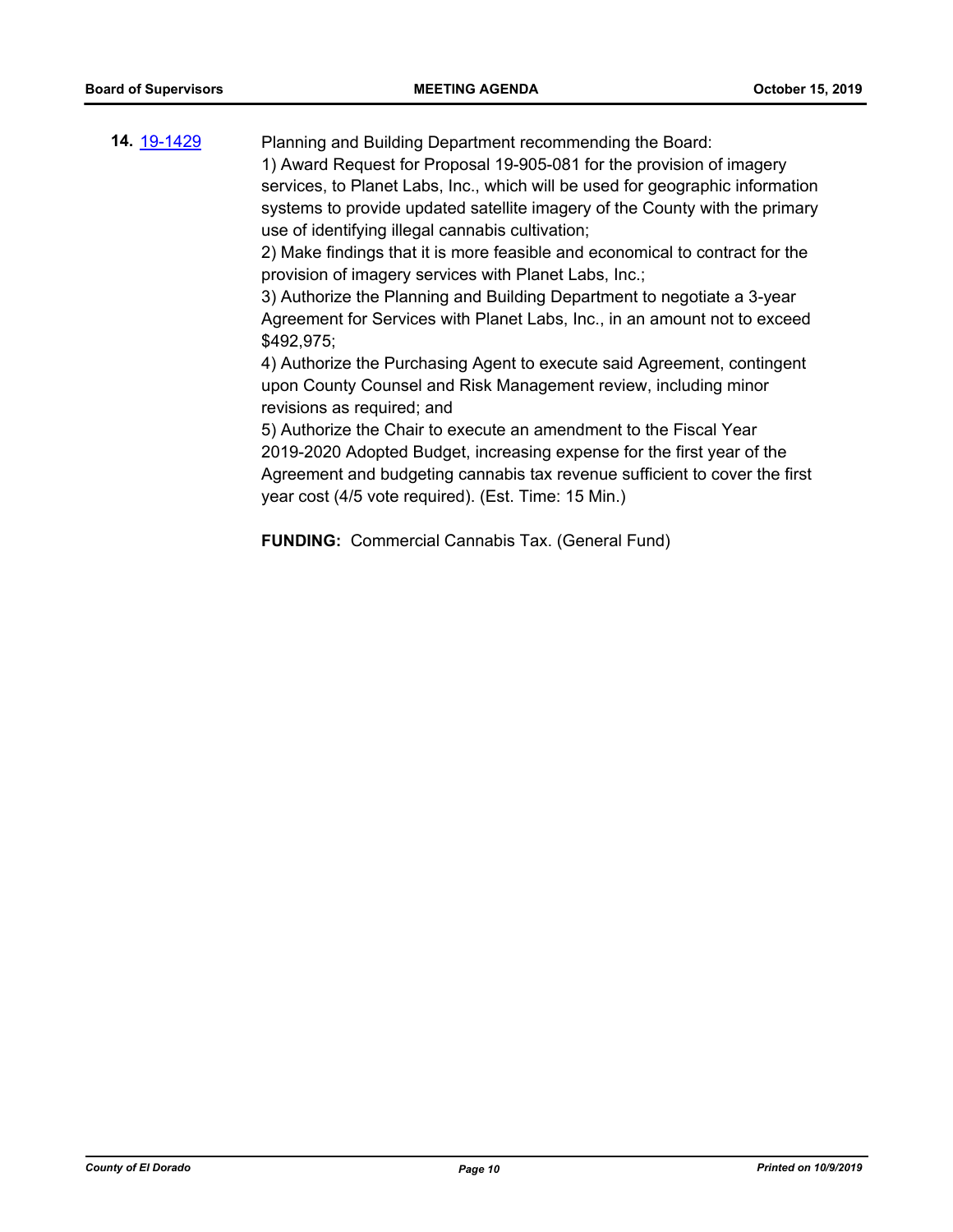**14.** [19-1429](http://eldorado.legistar.com/gateway.aspx?m=l&id=/matter.aspx?key=26750) Planning and Building Department recommending the Board: 1) Award Request for Proposal 19-905-081 for the provision of imagery services, to Planet Labs, Inc., which will be used for geographic information systems to provide updated satellite imagery of the County with the primary use of identifying illegal cannabis cultivation;

> 2) Make findings that it is more feasible and economical to contract for the provision of imagery services with Planet Labs, Inc.;

> 3) Authorize the Planning and Building Department to negotiate a 3-year Agreement for Services with Planet Labs, Inc., in an amount not to exceed \$492,975;

> 4) Authorize the Purchasing Agent to execute said Agreement, contingent upon County Counsel and Risk Management review, including minor revisions as required; and

> 5) Authorize the Chair to execute an amendment to the Fiscal Year 2019-2020 Adopted Budget, increasing expense for the first year of the Agreement and budgeting cannabis tax revenue sufficient to cover the first year cost (4/5 vote required). (Est. Time: 15 Min.)

**FUNDING:** Commercial Cannabis Tax. (General Fund)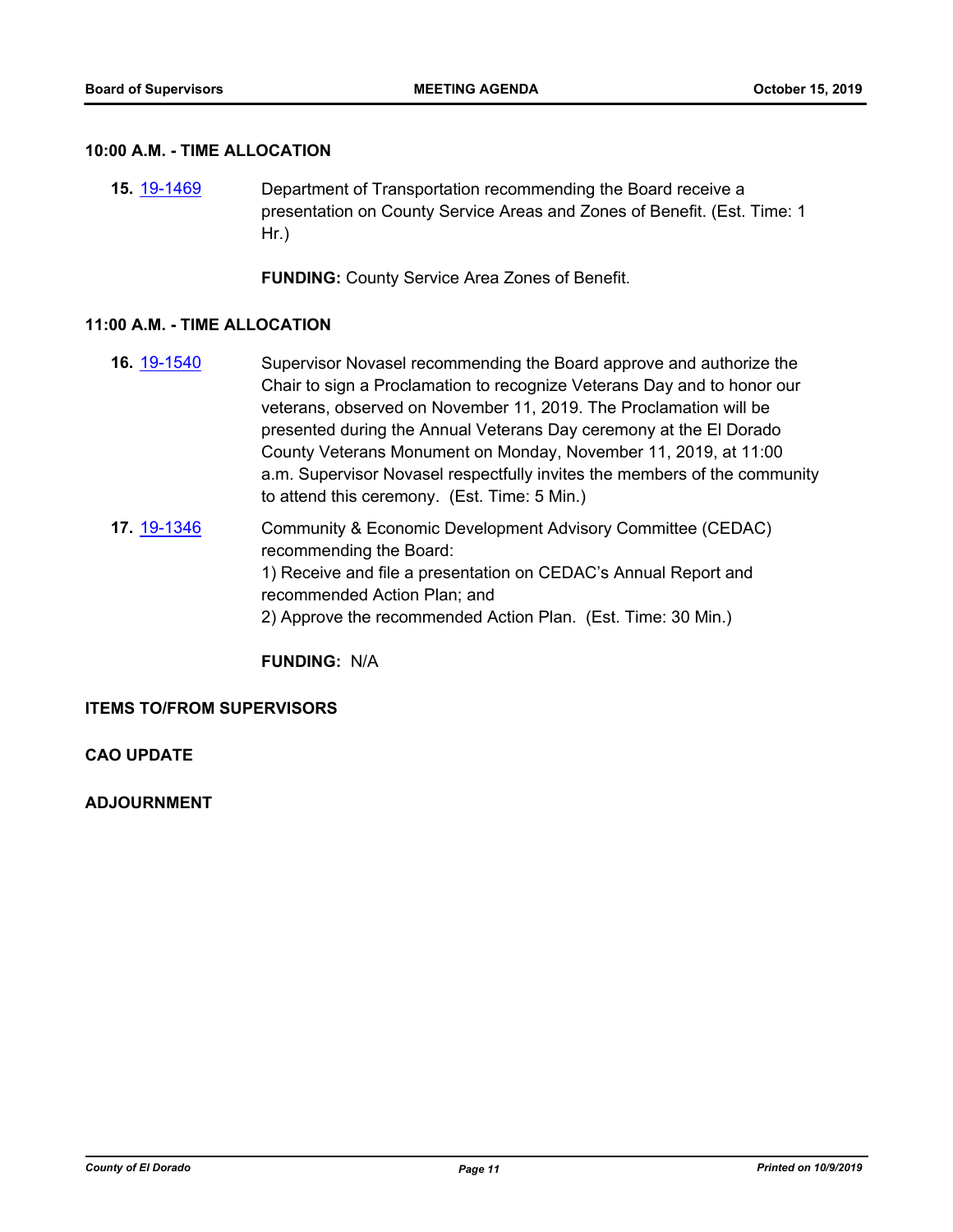#### **10:00 A.M. - TIME ALLOCATION**

**15.** [19-1469](http://eldorado.legistar.com/gateway.aspx?m=l&id=/matter.aspx?key=26790) Department of Transportation recommending the Board receive a presentation on County Service Areas and Zones of Benefit. (Est. Time: 1 Hr.)

**FUNDING:** County Service Area Zones of Benefit.

#### **11:00 A.M. - TIME ALLOCATION**

- **16.** [19-1540](http://eldorado.legistar.com/gateway.aspx?m=l&id=/matter.aspx?key=26862) Supervisor Novasel recommending the Board approve and authorize the Chair to sign a Proclamation to recognize Veterans Day and to honor our veterans, observed on November 11, 2019. The Proclamation will be presented during the Annual Veterans Day ceremony at the El Dorado County Veterans Monument on Monday, November 11, 2019, at 11:00 a.m. Supervisor Novasel respectfully invites the members of the community to attend this ceremony. (Est. Time: 5 Min.)
- **17.** [19-1346](http://eldorado.legistar.com/gateway.aspx?m=l&id=/matter.aspx?key=26667) Community & Economic Development Advisory Committee (CEDAC) recommending the Board: 1) Receive and file a presentation on CEDAC's Annual Report and recommended Action Plan; and 2) Approve the recommended Action Plan. (Est. Time: 30 Min.)

**FUNDING:** N/A

#### **ITEMS TO/FROM SUPERVISORS**

**CAO UPDATE**

**ADJOURNMENT**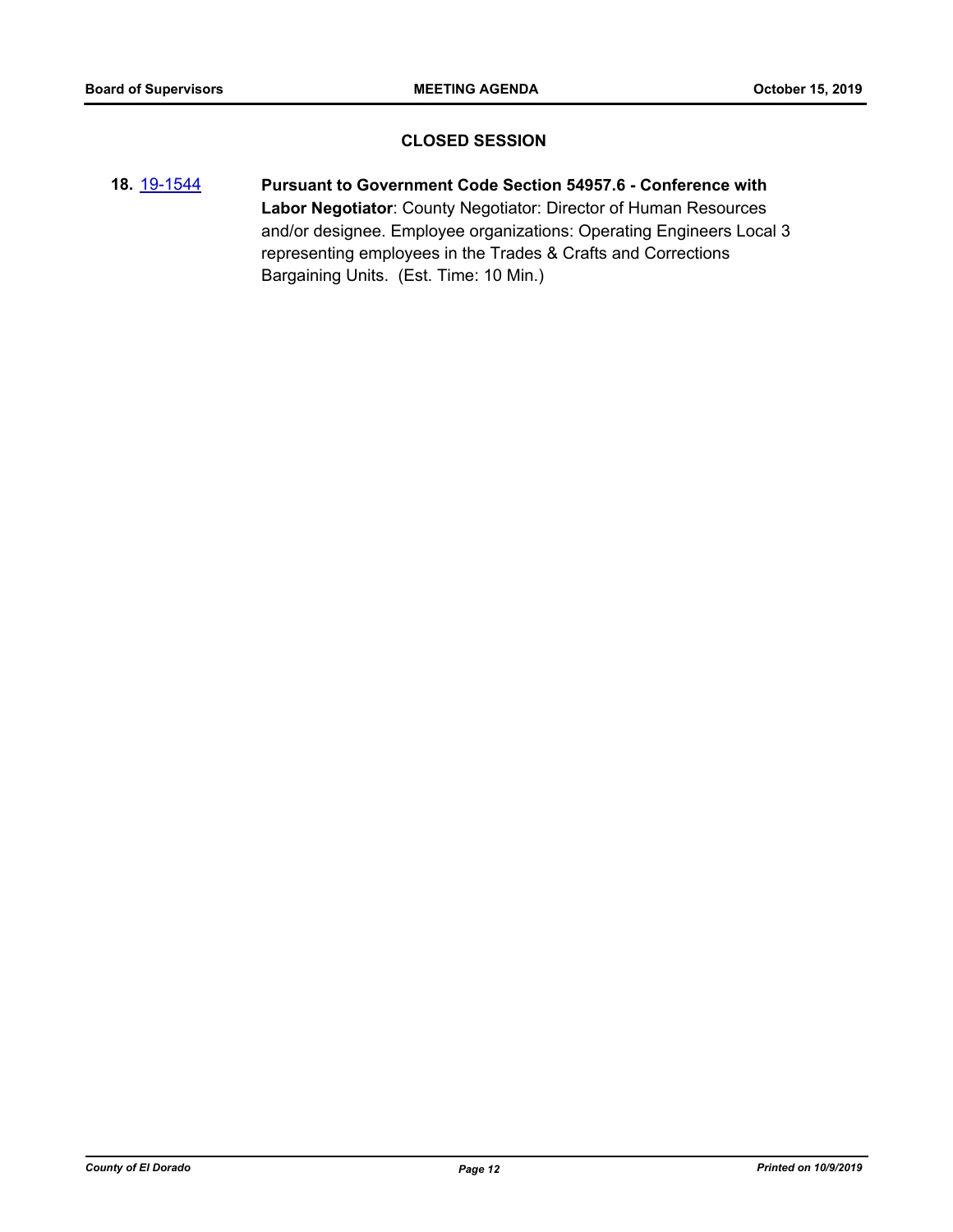## **CLOSED SESSION**

**18.** [19-1544](http://eldorado.legistar.com/gateway.aspx?m=l&id=/matter.aspx?key=26866) **Pursuant to Government Code Section 54957.6 - Conference with Labor Negotiator**: County Negotiator: Director of Human Resources and/or designee. Employee organizations: Operating Engineers Local 3 representing employees in the Trades & Crafts and Corrections Bargaining Units. (Est. Time: 10 Min.)